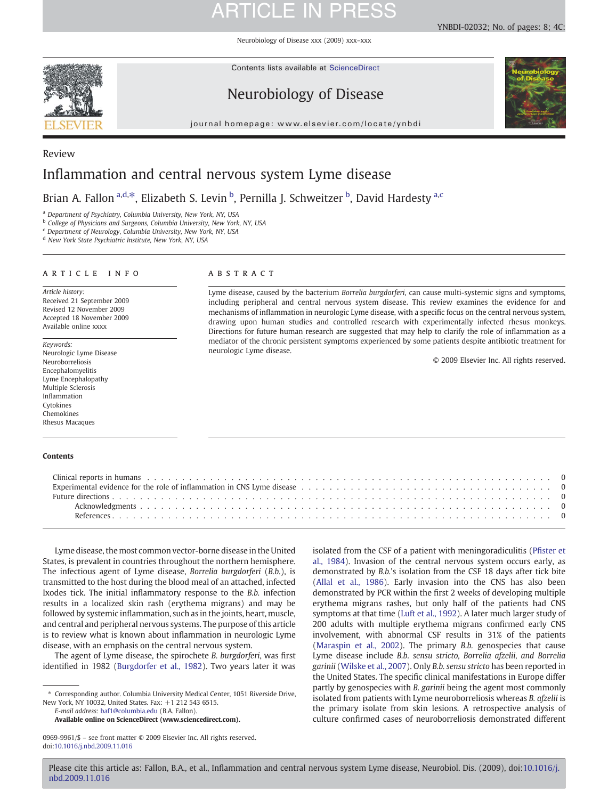Neurobiology of Disease xxx (2009) xxx–xxx

Contents lists available at [ScienceDirect](http://www.sciencedirect.com/science/journal/09699961)

### Neurobiology of Disease

journal homepage: www.elsevier.com/locate/ynbdi

# Inflammation and central nervous system Lyme disease

Brian A. Fallon <sup>a,d,\*</sup>, Elizabeth S. Levin <sup>b</sup>, Pernilla J. Schweitzer <sup>b</sup>, David Hardesty <sup>a,c</sup>

<sup>a</sup> Department of Psychiatry, Columbia University, New York, NY, USA

**b** College of Physicians and Surgeons, Columbia University, New York, NY, USA

<sup>c</sup> Department of Neurology, Columbia University, New York, NY, USA

<sup>d</sup> New York State Psychiatric Institute, New York, NY, USA

#### article info abstract

Article history: Received 21 September 2009 Revised 12 November 2009 Accepted 18 November 2009 Available online xxxx

Keywords: Neurologic Lyme Disease Neuroborreliosis Encephalomyelitis Lyme Encephalopathy Multiple Sclerosis Inflammation Cytokines Chemokines Rhesus Macaques

Lyme disease, caused by the bacterium Borrelia burgdorferi, can cause multi-systemic signs and symptoms, including peripheral and central nervous system disease. This review examines the evidence for and mechanisms of inflammation in neurologic Lyme disease, with a specific focus on the central nervous system, drawing upon human studies and controlled research with experimentally infected rhesus monkeys. Directions for future human research are suggested that may help to clarify the role of inflammation as a mediator of the chronic persistent symptoms experienced by some patients despite antibiotic treatment for neurologic Lyme disease.

© 2009 Elsevier Inc. All rights reserved.

| Clinical reports in humans (a) and a contract of the contract of the contract of the contract of the contract of the contract of the contract of the contract of the contract of the contract of the contract of the contract |
|-------------------------------------------------------------------------------------------------------------------------------------------------------------------------------------------------------------------------------|
|                                                                                                                                                                                                                               |
|                                                                                                                                                                                                                               |
|                                                                                                                                                                                                                               |
|                                                                                                                                                                                                                               |

Lyme disease, the most common vector-borne disease in the United States, is prevalent in countries throughout the northern hemisphere. The infectious agent of Lyme disease, Borrelia burgdorferi (B.b.), is transmitted to the host during the blood meal of an attached, infected Ixodes tick. The initial inflammatory response to the B.b. infection results in a localized skin rash (erythema migrans) and may be followed by systemic inflammation, such as in the joints, heart, muscle, and central and peripheral nervous systems. The purpose of this article is to review what is known about inflammation in neurologic Lyme disease, with an emphasis on the central nervous system.

The agent of Lyme disease, the spirochete B. burgdorferi, was first identified in 1982 [\(Burgdorfer et al., 1982\)](#page-5-0). Two years later it was

E-mail address: [baf1@columbia.edu](mailto:baf1@columbia.edu) (B.A. Fallon).

Available online on ScienceDirect (www.sciencedirect.com).

isolated from the CSF of a patient with meningoradiculitis (Pfi[ster et](#page-6-0) [al., 1984](#page-6-0)). Invasion of the central nervous system occurs early, as demonstrated by B.b.'s isolation from the CSF 18 days after tick bite [\(Allal et al., 1986\)](#page-5-0). Early invasion into the CNS has also been demonstrated by PCR within the first 2 weeks of developing multiple erythema migrans rashes, but only half of the patients had CNS symptoms at that time [\(Luft et al., 1992](#page-6-0)). A later much larger study of 200 adults with multiple erythema migrans confirmed early CNS involvement, with abnormal CSF results in 31% of the patients [\(Maraspin et al., 2002\)](#page-6-0). The primary B.b. genospecies that cause Lyme disease include B.b. sensu stricto, Borrelia afzelii, and Borrelia garinii [\(Wilske et al., 2007\)](#page-7-0). Only B.b. sensu stricto has been reported in the United States. The specific clinical manifestations in Europe differ partly by genospecies with B. garinii being the agent most commonly isolated from patients with Lyme neuroborreliosis whereas B. afzelii is the primary isolate from skin lesions. A retrospective analysis of culture confirmed cases of neuroborreliosis demonstrated different



Review



YNBDI-02032; No. of pages: 8; 4C:

<sup>⁎</sup> Corresponding author. Columbia University Medical Center, 1051 Riverside Drive, New York, NY 10032, United States. Fax: +1 212 543 6515.

<sup>0969-9961/\$</sup> – see front matter © 2009 Elsevier Inc. All rights reserved. doi:[10.1016/j.nbd.2009.11.016](http://dx.doi.org/10.1016/j.nbd.2009.11.016)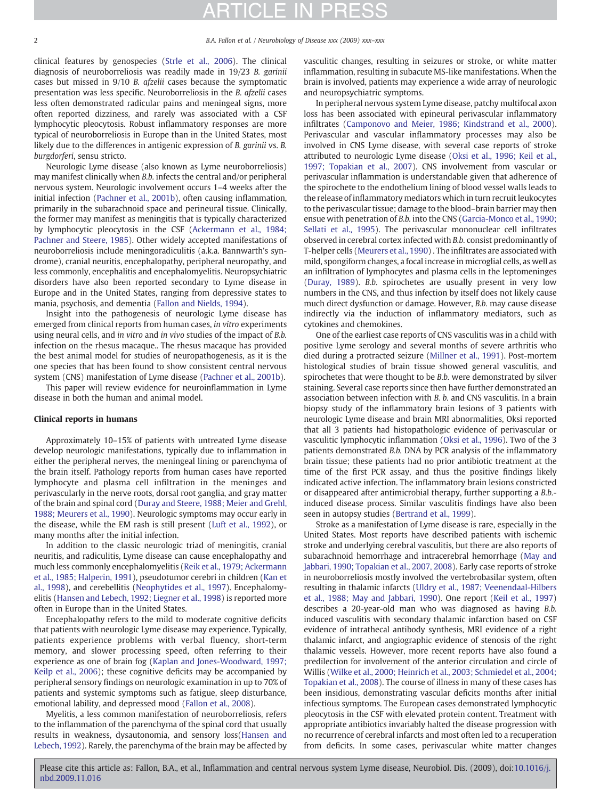clinical features by genospecies [\(Strle et al., 2006\)](#page-7-0). The clinical diagnosis of neuroborreliosis was readily made in 19/23 B. garinii cases but missed in 9/10 B. afzelii cases because the symptomatic presentation was less specific. Neuroborreliosis in the B. afzelii cases less often demonstrated radicular pains and meningeal signs, more often reported dizziness, and rarely was associated with a CSF lymphocytic pleocytosis. Robust inflammatory responses are more typical of neuroborreliosis in Europe than in the United States, most likely due to the differences in antigenic expression of B. garinii vs. B. burgdorferi, sensu stricto.

Neurologic Lyme disease (also known as Lyme neuroborreliosis) may manifest clinically when B.b. infects the central and/or peripheral nervous system. Neurologic involvement occurs 1–4 weeks after the initial infection [\(Pachner et al., 2001b\)](#page-6-0), often causing inflammation, primarily in the subarachnoid space and perineural tissue. Clinically, the former may manifest as meningitis that is typically characterized by lymphocytic pleocytosis in the CSF [\(Ackermann et al., 1984;](#page-5-0) [Pachner and Steere, 1985\)](#page-5-0). Other widely accepted manifestations of neuroborreliosis include meningoradiculitis (a.k.a. Bannwarth's syndrome), cranial neuritis, encephalopathy, peripheral neuropathy, and less commonly, encephalitis and encephalomyelitis. Neuropsychiatric disorders have also been reported secondary to Lyme disease in Europe and in the United States, ranging from depressive states to mania, psychosis, and dementia ([Fallon and Nields, 1994](#page-6-0)).

Insight into the pathogenesis of neurologic Lyme disease has emerged from clinical reports from human cases, in vitro experiments using neural cells, and in vitro and in vivo studies of the impact of B.b. infection on the rhesus macaque.. The rhesus macaque has provided the best animal model for studies of neuropathogenesis, as it is the one species that has been found to show consistent central nervous system (CNS) manifestation of Lyme disease ([Pachner et al., 2001b](#page-6-0)).

This paper will review evidence for neuroinflammation in Lyme disease in both the human and animal model.

#### Clinical reports in humans

Approximately 10–15% of patients with untreated Lyme disease develop neurologic manifestations, typically due to inflammation in either the peripheral nerves, the meningeal lining or parenchyma of the brain itself. Pathology reports from human cases have reported lymphocyte and plasma cell infiltration in the meninges and perivascularly in the nerve roots, dorsal root ganglia, and gray matter of the brain and spinal cord ([Duray and Steere, 1988; Meier and Grehl,](#page-6-0) [1988; Meurers et al., 1990\)](#page-6-0). Neurologic symptoms may occur early in the disease, while the EM rash is still present [\(Luft et al., 1992\)](#page-6-0), or many months after the initial infection.

In addition to the classic neurologic triad of meningitis, cranial neuritis, and radiculitis, Lyme disease can cause encephalopathy and much less commonly encephalomyelitis ([Reik et al., 1979; Ackermann](#page-7-0) [et al., 1985; Halperin, 1991](#page-7-0)), pseudotumor cerebri in children ([Kan et](#page-6-0) [al., 1998\)](#page-6-0), and cerebellitis [\(Neophytides et al., 1997](#page-6-0)). Encephalomyelitis ([Hansen and Lebech, 1992; Liegner et al., 1998\)](#page-6-0) is reported more often in Europe than in the United States.

Encephalopathy refers to the mild to moderate cognitive deficits that patients with neurologic Lyme disease may experience. Typically, patients experience problems with verbal fluency, short-term memory, and slower processing speed, often referring to their experience as one of brain fog ([Kaplan and Jones-Woodward, 1997;](#page-6-0) [Keilp et al., 2006\)](#page-6-0); these cognitive deficits may be accompanied by peripheral sensory findings on neurologic examination in up to 70% of patients and systemic symptoms such as fatigue, sleep disturbance, emotional lability, and depressed mood [\(Fallon et al., 2008\)](#page-6-0).

Myelitis, a less common manifestation of neuroborreliosis, refers to the inflammation of the parenchyma of the spinal cord that usually results in weakness, dysautonomia, and sensory loss([Hansen and](#page-6-0) [Lebech, 1992\)](#page-6-0). Rarely, the parenchyma of the brain may be affected by vasculitic changes, resulting in seizures or stroke, or white matter inflammation, resulting in subacute MS-like manifestations. When the brain is involved, patients may experience a wide array of neurologic and neuropsychiatric symptoms.

In peripheral nervous system Lyme disease, patchy multifocal axon loss has been associated with epineural perivascular inflammatory infiltrates [\(Camponovo and Meier, 1986; Kindstrand et al., 2000](#page-5-0)). Perivascular and vascular inflammatory processes may also be involved in CNS Lyme disease, with several case reports of stroke attributed to neurologic Lyme disease [\(Oksi et al., 1996; Keil et al.,](#page-6-0) [1997; Topakian et al., 2007](#page-6-0)). CNS involvement from vascular or perivascular inflammation is understandable given that adherence of the spirochete to the endothelium lining of blood vessel walls leads to the release of inflammatory mediators which in turn recruit leukocytes to the perivascular tissue; damage to the blood–brain barrier may then ensue with penetration of B.b. into the CNS ([Garcia-Monco et al., 1990;](#page-6-0) [Sellati et al., 1995](#page-6-0)). The perivascular mononuclear cell infiltrates observed in cerebral cortex infected with B.b. consist predominantly of T-helper cells [\(Meurers et al., 1990\)](#page-6-0) . The infiltrates are associated with mild, spongiform changes, a focal increase in microglial cells, as well as an infiltration of lymphocytes and plasma cells in the leptomeninges [\(Duray, 1989](#page-6-0)). B.b. spirochetes are usually present in very low numbers in the CNS, and thus infection by itself does not likely cause much direct dysfunction or damage. However, B.b. may cause disease indirectly via the induction of inflammatory mediators, such as cytokines and chemokines.

One of the earliest case reports of CNS vasculitis was in a child with positive Lyme serology and several months of severe arthritis who died during a protracted seizure ([Millner et al., 1991\)](#page-6-0). Post-mortem histological studies of brain tissue showed general vasculitis, and spirochetes that were thought to be B.b. were demonstrated by silver staining. Several case reports since then have further demonstrated an association between infection with B. b. and CNS vasculitis. In a brain biopsy study of the inflammatory brain lesions of 3 patients with neurologic Lyme disease and brain MRI abnormalities, Oksi reported that all 3 patients had histopathologic evidence of perivascular or vasculitic lymphocytic inflammation [\(Oksi et al., 1996\)](#page-6-0). Two of the 3 patients demonstrated B.b. DNA by PCR analysis of the inflammatory brain tissue; these patients had no prior antibiotic treatment at the time of the first PCR assay, and thus the positive findings likely indicated active infection. The inflammatory brain lesions constricted or disappeared after antimicrobial therapy, further supporting a B.b. induced disease process. Similar vasculitis findings have also been seen in autopsy studies ([Bertrand et al., 1999](#page-5-0)).

Stroke as a manifestation of Lyme disease is rare, especially in the United States. Most reports have described patients with ischemic stroke and underlying cerebral vasculitis, but there are also reports of subarachnoid hemorrhage and intracerebral hemorrhage [\(May and](#page-6-0) [Jabbari, 1990; Topakian et al., 2007, 2008\)](#page-6-0). Early case reports of stroke in neuroborreliosis mostly involved the vertebrobasilar system, often resulting in thalamic infarcts [\(Uldry et al., 1987; Veenendaal-Hilbers](#page-7-0) [et al., 1988; May and Jabbari, 1990](#page-7-0)). One report [\(Keil et al., 1997](#page-6-0)) describes a 20-year-old man who was diagnosed as having B.b. induced vasculitis with secondary thalamic infarction based on CSF evidence of intrathecal antibody synthesis, MRI evidence of a right thalamic infarct, and angiographic evidence of stenosis of the right thalamic vessels. However, more recent reports have also found a predilection for involvement of the anterior circulation and circle of Willis [\(Wilke et al., 2000; Heinrich et al., 2003; Schmiedel et al., 2004;](#page-7-0) [Topakian et al., 2008\)](#page-7-0). The course of illness in many of these cases has been insidious, demonstrating vascular deficits months after initial infectious symptoms. The European cases demonstrated lymphocytic pleocytosis in the CSF with elevated protein content. Treatment with appropriate antibiotics invariably halted the disease progression with no recurrence of cerebral infarcts and most often led to a recuperation from deficits. In some cases, perivascular white matter changes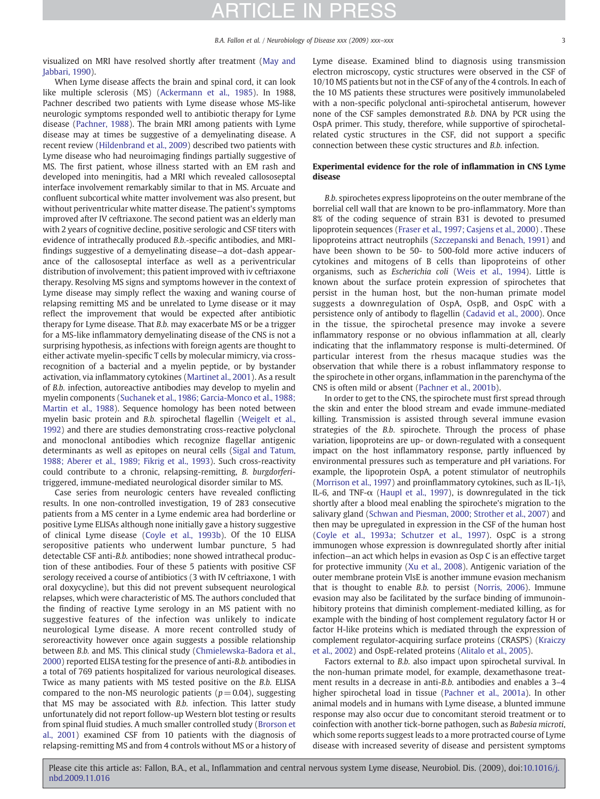visualized on MRI have resolved shortly after treatment ([May and](#page-6-0) [Jabbari, 1990](#page-6-0)).

When Lyme disease affects the brain and spinal cord, it can look like multiple sclerosis (MS) [\(Ackermann et al., 1985](#page-5-0)). In 1988, Pachner described two patients with Lyme disease whose MS-like neurologic symptoms responded well to antibiotic therapy for Lyme disease ([Pachner, 1988](#page-6-0)). The brain MRI among patients with Lyme disease may at times be suggestive of a demyelinating disease. A recent review [\(Hildenbrand et al., 2009\)](#page-6-0) described two patients with Lyme disease who had neuroimaging findings partially suggestive of MS. The first patient, whose illness started with an EM rash and developed into meningitis, had a MRI which revealed callososeptal interface involvement remarkably similar to that in MS. Arcuate and confluent subcortical white matter involvement was also present, but without periventricular white matter disease. The patient's symptoms improved after IV ceftriaxone. The second patient was an elderly man with 2 years of cognitive decline, positive serologic and CSF titers with evidence of intrathecally produced B.b.-specific antibodies, and MRIfindings suggestive of a demyelinating disease—a dot–dash appearance of the callososeptal interface as well as a periventricular distribution of involvement; this patient improved with iv ceftriaxone therapy. Resolving MS signs and symptoms however in the context of Lyme disease may simply reflect the waxing and waning course of relapsing remitting MS and be unrelated to Lyme disease or it may reflect the improvement that would be expected after antibiotic therapy for Lyme disease. That B.b. may exacerbate MS or be a trigger for a MS-like inflammatory demyelinating disease of the CNS is not a surprising hypothesis, as infections with foreign agents are thought to either activate myelin-specific T cells by molecular mimicry, via crossrecognition of a bacterial and a myelin peptide, or by bystander activation, via inflammatory cytokines ([Martinet al., 2001](#page-6-0)). As a result of B.b. infection, autoreactive antibodies may develop to myelin and myelin components ([Suchanek et al., 1986; Garcia-Monco et al., 1988;](#page-7-0) [Martin et al., 1988](#page-7-0)). Sequence homology has been noted between myelin basic protein and B.b. spirochetal flagellin ([Weigelt et al.,](#page-7-0) [1992\)](#page-7-0) and there are studies demonstrating cross-reactive polyclonal and monoclonal antibodies which recognize flagellar antigenic determinants as well as epitopes on neural cells [\(Sigal and Tatum,](#page-7-0) [1988; Aberer et al., 1989; Fikrig et al., 1993](#page-7-0)). Such cross-reactivity could contribute to a chronic, relapsing-remitting, B. burgdorferitriggered, immune-mediated neurological disorder similar to MS.

Case series from neurologic centers have revealed conflicting results. In one non-controlled investigation, 19 of 283 consecutive patients from a MS center in a Lyme endemic area had borderline or positive Lyme ELISAs although none initially gave a history suggestive of clinical Lyme disease ([Coyle et al., 1993b](#page-6-0)). Of the 10 ELISA seropositive patients who underwent lumbar puncture, 5 had detectable CSF anti-B.b. antibodies; none showed intrathecal production of these antibodies. Four of these 5 patients with positive CSF serology received a course of antibiotics (3 with IV ceftriaxone, 1 with oral doxycycline), but this did not prevent subsequent neurological relapses, which were characteristic of MS. The authors concluded that the finding of reactive Lyme serology in an MS patient with no suggestive features of the infection was unlikely to indicate neurological Lyme disease. A more recent controlled study of seroreactivity however once again suggests a possible relationship between B.b. and MS. This clinical study ([Chmielewska-Badora et al.,](#page-6-0) [2000\)](#page-6-0) reported ELISA testing for the presence of anti-B.b. antibodies in a total of 769 patients hospitalized for various neurological diseases. Twice as many patients with MS tested positive on the B.b. ELISA compared to the non-MS neurologic patients ( $p = 0.04$ ), suggesting that MS may be associated with B.b. infection. This latter study unfortunately did not report follow-up Western blot testing or results from spinal fluid studies. A much smaller controlled study [\(Brorson et](#page-5-0) [al., 2001](#page-5-0)) examined CSF from 10 patients with the diagnosis of relapsing-remitting MS and from 4 controls without MS or a history of Lyme disease. Examined blind to diagnosis using transmission electron microscopy, cystic structures were observed in the CSF of 10/10 MS patients but not in the CSF of any of the 4 controls. In each of the 10 MS patients these structures were positively immunolabeled with a non-specific polyclonal anti-spirochetal antiserum, however none of the CSF samples demonstrated B.b. DNA by PCR using the OspA primer. This study, therefore, while supportive of spirochetalrelated cystic structures in the CSF, did not support a specific connection between these cystic structures and B.b. infection.

### Experimental evidence for the role of inflammation in CNS Lyme disease

B.b. spirochetes express lipoproteins on the outer membrane of the borrelial cell wall that are known to be pro-inflammatory. More than 8% of the coding sequence of strain B31 is devoted to presumed lipoprotein sequences ([Fraser et al., 1997; Casjens et al., 2000](#page-6-0)) . These lipoproteins attract neutrophils [\(Szczepanski and Benach, 1991](#page-7-0)) and have been shown to be 50- to 500-fold more active inducers of cytokines and mitogens of B cells than lipoproteins of other organisms, such as Escherichia coli ([Weis et al., 1994](#page-7-0)). Little is known about the surface protein expression of spirochetes that persist in the human host, but the non-human primate model suggests a downregulation of OspA, OspB, and OspC with a persistence only of antibody to flagellin ([Cadavid et al., 2000](#page-5-0)). Once in the tissue, the spirochetal presence may invoke a severe inflammatory response or no obvious inflammation at all, clearly indicating that the inflammatory response is multi-determined. Of particular interest from the rhesus macaque studies was the observation that while there is a robust inflammatory response to the spirochete in other organs, inflammation in the parenchyma of the CNS is often mild or absent ([Pachner et al., 2001b](#page-6-0)).

In order to get to the CNS, the spirochete must first spread through the skin and enter the blood stream and evade immune-mediated killing. Transmission is assisted through several immune evasion strategies of the B.b. spirochete. Through the process of phase variation, lipoproteins are up- or down-regulated with a consequent impact on the host inflammatory response, partly influenced by environmental pressures such as temperature and pH variations. For example, the lipoprotein OspA, a potent stimulator of neutrophils [\(Morrison et al., 1997\)](#page-6-0) and proinflammatory cytokines, such as IL-1β, IL-6, and TNF- $\alpha$  ([Haupl et al., 1997](#page-6-0)), is downregulated in the tick shortly after a blood meal enabling the spirochete's migration to the salivary gland ([Schwan and Piesman, 2000; Strother et al., 2007](#page-7-0)) and then may be upregulated in expression in the CSF of the human host [\(Coyle et al., 1993a; S](#page-6-0)[chutzer et al., 1997\)](#page-7-0). OspC is a strong immunogen whose expression is downregulated shortly after initial infection—an act which helps in evasion as Osp C is an effective target for protective immunity ([Xu et al., 2008](#page-7-0)). Antigenic variation of the outer membrane protein VlsE is another immune evasion mechanism that is thought to enable B.b. to persist [\(Norris, 2006](#page-6-0)). Immune evasion may also be facilitated by the surface binding of immunoinhibitory proteins that diminish complement-mediated killing, as for example with the binding of host complement regulatory factor H or factor H-like proteins which is mediated through the expression of complement regulator-acquiring surface proteins (CRASPS) ([Kraiczy](#page-6-0) [et al., 2002\)](#page-6-0) and OspE-related proteins ([Alitalo et al., 2005\)](#page-5-0).

Factors external to B.b. also impact upon spirochetal survival. In the non-human primate model, for example, dexamethasone treatment results in a decrease in anti-B.b. antibodies and enables a 3–4 higher spirochetal load in tissue [\(Pachner et al., 2001a\)](#page-6-0). In other animal models and in humans with Lyme disease, a blunted immune response may also occur due to concomitant steroid treatment or to coinfection with another tick-borne pathogen, such as Babesia microti, which some reports suggest leads to a more protracted course of Lyme disease with increased severity of disease and persistent symptoms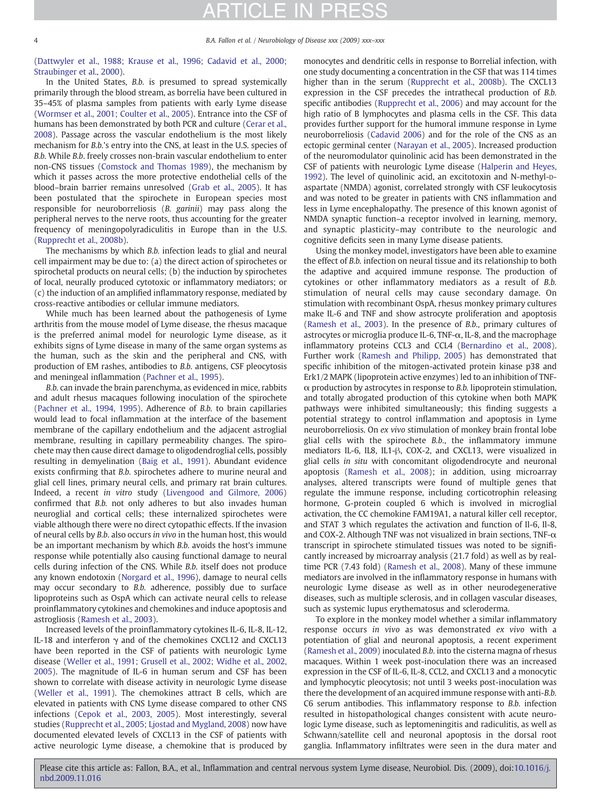[\(Dattwyler et al., 1988; Krause et al., 1996; Cadavid et al., 2000;](#page-6-0) [Straubinger et al., 2000\)](#page-6-0).

In the United States, B.b. is presumed to spread systemically primarily through the blood stream, as borrelia have been cultured in 35–45% of plasma samples from patients with early Lyme disease [\(Wormser et al., 2001; Coulter et al., 2005\)](#page-7-0). Entrance into the CSF of humans has been demonstrated by both PCR and culture [\(Cerar et al.,](#page-5-0) [2008\)](#page-5-0). Passage across the vascular endothelium is the most likely mechanism for B.b.'s entry into the CNS, at least in the U.S. species of B.b. While B.b. freely crosses non-brain vascular endothelium to enter non-CNS tissues ([Comstock and Thomas 1989\)](#page-6-0), the mechanism by which it passes across the more protective endothelial cells of the blood–brain barrier remains unresolved ([Grab et al., 2005](#page-6-0)). It has been postulated that the spirochete in European species most responsible for neuroborreliosis (B. garinii) may pass along the peripheral nerves to the nerve roots, thus accounting for the greater frequency of meningopolyradiculitis in Europe than in the U.S. [\(Rupprecht et al., 2008b](#page-7-0)).

The mechanisms by which B.b. infection leads to glial and neural cell impairment may be due to: (a) the direct action of spirochetes or spirochetal products on neural cells; (b) the induction by spirochetes of local, neurally produced cytotoxic or inflammatory mediators; or (c) the induction of an amplified inflammatory response, mediated by cross-reactive antibodies or cellular immune mediators.

While much has been learned about the pathogenesis of Lyme arthritis from the mouse model of Lyme disease, the rhesus macaque is the preferred animal model for neurologic Lyme disease, as it exhibits signs of Lyme disease in many of the same organ systems as the human, such as the skin and the peripheral and CNS, with production of EM rashes, antibodies to B.b. antigens, CSF pleocytosis and meningeal inflammation [\(Pachner et al., 1995](#page-6-0)).

B.b. can invade the brain parenchyma, as evidenced in mice, rabbits and adult rhesus macaques following inoculation of the spirochete [\(Pachner et al., 1994, 1995](#page-6-0)). Adherence of B.b. to brain capillaries would lead to focal inflammation at the interface of the basement membrane of the capillary endothelium and the adjacent astroglial membrane, resulting in capillary permeability changes. The spirochete may then cause direct damage to oligodendroglial cells, possibly resulting in demyelination [\(Baig et al., 1991\)](#page-5-0). Abundant evidence exists confirming that *B.b.* spirochetes adhere to murine neural and glial cell lines, primary neural cells, and primary rat brain cultures. Indeed, a recent in vitro study [\(Livengood and Gilmore, 2006](#page-6-0)) confirmed that B.b. not only adheres to but also invades human neuroglial and cortical cells; these internalized spirochetes were viable although there were no direct cytopathic effects. If the invasion of neural cells by B.b. also occurs in vivo in the human host, this would be an important mechanism by which B.b. avoids the host's immune response while potentially also causing functional damage to neural cells during infection of the CNS. While B.b. itself does not produce any known endotoxin ([Norgard et al., 1996\)](#page-6-0), damage to neural cells may occur secondary to B.b. adherence, possibly due to surface lipoproteins such as OspA which can activate neural cells to release proinflammatory cytokines and chemokines and induce apoptosis and astrogliosis ([Ramesh et al., 2003\)](#page-7-0).

Increased levels of the proinflammatory cytokines IL-6, IL-8, IL-12, IL-18 and interferon  $\gamma$  and of the chemokines CXCL12 and CXCL13 have been reported in the CSF of patients with neurologic Lyme disease [\(Weller et al., 1991; Grusell et al., 2002; Widhe et al., 2002,](#page-7-0) [2005\)](#page-7-0). The magnitude of IL-6 in human serum and CSF has been shown to correlate with disease activity in neurologic Lyme disease [\(Weller et al., 1991\)](#page-7-0). The chemokines attract B cells, which are elevated in patients with CNS Lyme disease compared to other CNS infections [\(Cepok et al., 2003, 2005\)](#page-5-0). Most interestingly, several studies ([Rupprecht et al., 2005; Ljostad and Mygland, 2008](#page-7-0)) now have documented elevated levels of CXCL13 in the CSF of patients with active neurologic Lyme disease, a chemokine that is produced by monocytes and dendritic cells in response to Borrelial infection, with one study documenting a concentration in the CSF that was 114 times higher than in the serum [\(Rupprecht et al., 2008b](#page-7-0)). The CXCL13 expression in the CSF precedes the intrathecal production of B.b. specific antibodies [\(Rupprecht et al., 2006](#page-7-0)) and may account for the high ratio of B lymphocytes and plasma cells in the CSF. This data provides further support for the humoral immune response in Lyme neuroborreliosis [\(Cadavid 2006\)](#page-5-0) and for the role of the CNS as an ectopic germinal center [\(Narayan et al., 2005\)](#page-6-0). Increased production of the neuromodulator quinolinic acid has been demonstrated in the CSF of patients with neurologic Lyme disease ([Halperin and Heyes,](#page-6-0) [1992\)](#page-6-0). The level of quinolinic acid, an excitotoxin and N-methyl-Daspartate (NMDA) agonist, correlated strongly with CSF leukocytosis and was noted to be greater in patients with CNS inflammation and less in Lyme encephalopathy. The presence of this known agonist of NMDA synaptic function–a receptor involved in learning, memory, and synaptic plasticity–may contribute to the neurologic and cognitive deficits seen in many Lyme disease patients.

Using the monkey model, investigators have been able to examine the effect of B.b. infection on neural tissue and its relationship to both the adaptive and acquired immune response. The production of cytokines or other inflammatory mediators as a result of B.b. stimulation of neural cells may cause secondary damage. On stimulation with recombinant OspA, rhesus monkey primary cultures make IL-6 and TNF and show astrocyte proliferation and apoptosis [\(Ramesh et al., 2003](#page-7-0)). In the presence of B.b., primary cultures of astrocytes or microglia produce IL-6, TNF-α, IL-8, and the macrophage inflammatory proteins CCL3 and CCL4 ([Bernardino et al., 2008](#page-5-0)). Further work [\(Ramesh and Philipp, 2005](#page-6-0)) has demonstrated that specific inhibition of the mitogen-activated protein kinase p38 and Erk1/2 MAPK (lipoprotein active enzymes) led to an inhibition of TNF- $\alpha$  production by astrocytes in response to B.b. lipoprotein stimulation, and totally abrogated production of this cytokine when both MAPK pathways were inhibited simultaneously; this finding suggests a potential strategy to control inflammation and apoptosis in Lyme neuroborreliosis. On ex vivo stimulation of monkey brain frontal lobe glial cells with the spirochete B.b., the inflammatory immune mediators IL-6, IL8, IL1-β, COX-2, and CXCL13, were visualized in glial cells in situ with concomitant oligodendrocyte and neuronal apoptosis ([Ramesh et al., 2008\)](#page-7-0); in addition, using microarray analyses, altered transcripts were found of multiple genes that regulate the immune response, including corticotrophin releasing hormone, G-protein coupled 6 which is involved in microglial activation, the CC chemokine FAM19A1, a natural killer cell receptor, and STAT 3 which regulates the activation and function of Il-6, Il-8, and COX-2. Although TNF was not visualized in brain sections, TNF- $\alpha$ transcript in spirochete stimulated tissues was noted to be significantly increased by microarray analysis (21.7 fold) as well as by realtime PCR (7.43 fold) ([Ramesh et al., 2008\)](#page-7-0). Many of these immune mediators are involved in the inflammatory response in humans with neurologic Lyme disease as well as in other neurodegenerative diseases, such as multiple sclerosis, and in collagen vascular diseases, such as systemic lupus erythematosus and scleroderma.

To explore in the monkey model whether a similar inflammatory response occurs in vivo as was demonstrated ex vivo with a potentiation of glial and neuronal apoptosis, a recent experiment [\(Ramesh et al., 2009](#page-7-0)) inoculated B.b. into the cisterna magna of rhesus macaques. Within 1 week post-inoculation there was an increased expression in the CSF of IL-6, IL-8, CCL2, and CXCL13 and a monocytic and lymphocytic pleocytosis; not until 3 weeks post-inoculation was there the development of an acquired immune response with anti-B.b. C6 serum antibodies. This inflammatory response to B.b. infection resulted in histopathological changes consistent with acute neurologic Lyme disease, such as leptomeningitis and radiculitis, as well as Schwann/satellite cell and neuronal apoptosis in the dorsal root ganglia. Inflammatory infiltrates were seen in the dura mater and

Please cite this article as: Fallon, B.A., et al., Inflammation and central nervous system Lyme disease, Neurobiol. Dis. (2009), doi:[10.1016/j.](http://dx.doi.org/10.1016/j.nbd.2009.11.016) [nbd.2009.11.016](http://dx.doi.org/10.1016/j.nbd.2009.11.016)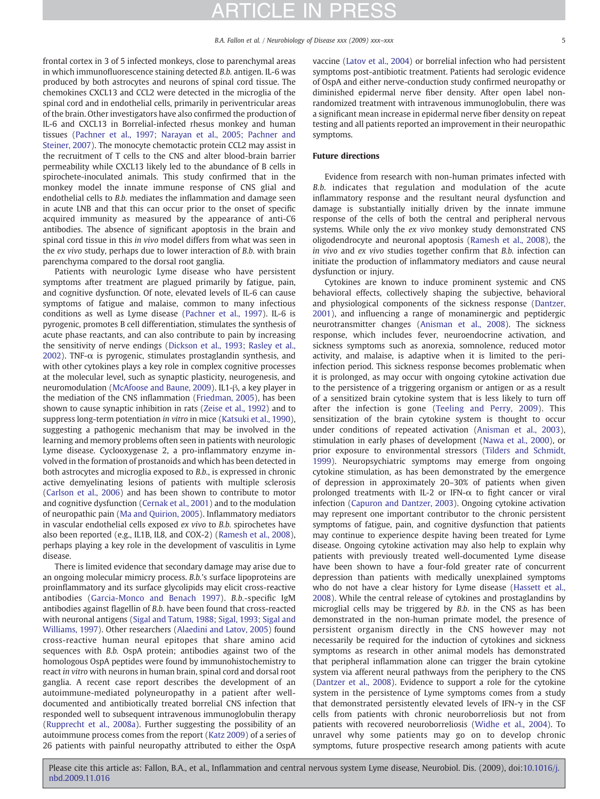frontal cortex in 3 of 5 infected monkeys, close to parenchymal areas in which immunofluorescence staining detected B.b. antigen. IL-6 was produced by both astrocytes and neurons of spinal cord tissue. The chemokines CXCL13 and CCL2 were detected in the microglia of the spinal cord and in endothelial cells, primarily in periventricular areas of the brain. Other investigators have also confirmed the production of IL-6 and CXCL13 in Borrelial-infected rhesus monkey and human tissues [\(Pachner et al., 1997; Narayan et al., 2005; Pachner and](#page-6-0) [Steiner, 2007](#page-6-0)). The monocyte chemotactic protein CCL2 may assist in the recruitment of T cells to the CNS and alter blood-brain barrier permeability while CXCL13 likely led to the abundance of B cells in spirochete-inoculated animals. This study confirmed that in the monkey model the innate immune response of CNS glial and endothelial cells to B.b. mediates the inflammation and damage seen in acute LNB and that this can occur prior to the onset of specific acquired immunity as measured by the appearance of anti-C6 antibodies. The absence of significant apoptosis in the brain and spinal cord tissue in this in vivo model differs from what was seen in the ex vivo study, perhaps due to lower interaction of B.b. with brain parenchyma compared to the dorsal root ganglia.

Patients with neurologic Lyme disease who have persistent symptoms after treatment are plagued primarily by fatigue, pain, and cognitive dysfunction. Of note, elevated levels of IL-6 can cause symptoms of fatigue and malaise, common to many infectious conditions as well as Lyme disease [\(Pachner et al., 1997\)](#page-6-0). IL-6 is pyrogenic, promotes B cell differentiation, stimulates the synthesis of acute phase reactants, and can also contribute to pain by increasing the sensitivity of nerve endings [\(Dickson et al., 1993; Rasley et al.,](#page-6-0) [2002\)](#page-6-0). TNF- $\alpha$  is pyrogenic, stimulates prostaglandin synthesis, and with other cytokines plays a key role in complex cognitive processes at the molecular level, such as synaptic plasticity, neurogenesis, and neuromodulation ([McAfoose and Baune, 2009\)](#page-6-0). IL1-β, a key player in the mediation of the CNS inflammation [\(Friedman, 2005\)](#page-6-0), has been shown to cause synaptic inhibition in rats ([Zeise et al., 1992](#page-7-0)) and to suppress long-term potentiation in vitro in mice [\(Katsuki et al., 1990](#page-6-0)), suggesting a pathogenic mechanism that may be involved in the learning and memory problems often seen in patients with neurologic Lyme disease. Cyclooxygenase 2, a pro-inflammatory enzyme involved in the formation of prostanoids and which has been detected in both astrocytes and microglia exposed to B.b., is expressed in chronic active demyelinating lesions of patients with multiple sclerosis [\(Carlson et al., 2006](#page-5-0)) and has been shown to contribute to motor and cognitive dysfunction [\(Cernak et al., 2001\)](#page-5-0) and to the modulation of neuropathic pain [\(Ma and Quirion, 2005\)](#page-6-0). Inflammatory mediators in vascular endothelial cells exposed ex vivo to B.b. spirochetes have also been reported (e.g., IL1B, IL8, and COX-2) [\(Ramesh et al., 2008](#page-7-0)), perhaps playing a key role in the development of vasculitis in Lyme disease.

There is limited evidence that secondary damage may arise due to an ongoing molecular mimicry process. B.b.'s surface lipoproteins are proinflammatory and its surface glycolipids may elicit cross-reactive antibodies ([Garcia-Monco and Benach 1997\)](#page-6-0). B.b.-specific IgM antibodies against flagellin of B.b. have been found that cross-reacted with neuronal antigens [\(Sigal and Tatum, 1988; Sigal, 1993; Sigal and](#page-7-0) [Williams, 1997](#page-7-0)). Other researchers ([Alaedini and Latov, 2005](#page-5-0)) found cross-reactive human neural epitopes that share amino acid sequences with B.b. OspA protein; antibodies against two of the homologous OspA peptides were found by immunohistochemistry to react in vitro with neurons in human brain, spinal cord and dorsal root ganglia. A recent case report describes the development of an autoimmune-mediated polyneuropathy in a patient after welldocumented and antibiotically treated borrelial CNS infection that responded well to subsequent intravenous immunoglobulin therapy [\(Rupprecht et al., 2008a\)](#page-7-0). Further suggesting the possibility of an autoimmune process comes from the report [\(Katz 2009](#page-6-0)) of a series of 26 patients with painful neuropathy attributed to either the OspA

vaccine ([Latov et al., 2004](#page-6-0)) or borrelial infection who had persistent symptoms post-antibiotic treatment. Patients had serologic evidence of OspA and either nerve-conduction study confirmed neuropathy or diminished epidermal nerve fiber density. After open label nonrandomized treatment with intravenous immunoglobulin, there was a significant mean increase in epidermal nerve fiber density on repeat testing and all patients reported an improvement in their neuropathic symptoms.

### Future directions

Evidence from research with non-human primates infected with B.b. indicates that regulation and modulation of the acute inflammatory response and the resultant neural dysfunction and damage is substantially initially driven by the innate immune response of the cells of both the central and peripheral nervous systems. While only the ex vivo monkey study demonstrated CNS oligodendrocyte and neuronal apoptosis [\(Ramesh et al., 2008](#page-7-0)), the in vivo and ex vivo studies together confirm that B.b. infection can initiate the production of inflammatory mediators and cause neural dysfunction or injury.

Cytokines are known to induce prominent systemic and CNS behavioral effects, collectively shaping the subjective, behavioral and physiological components of the sickness response [\(Dantzer,](#page-6-0) [2001\)](#page-6-0), and influencing a range of monaminergic and peptidergic neurotransmitter changes [\(Anisman et al., 2008\)](#page-5-0). The sickness response, which includes fever, neuroendocrine activation, and sickness symptoms such as anorexia, somnolence, reduced motor activity, and malaise, is adaptive when it is limited to the periinfection period. This sickness response becomes problematic when it is prolonged, as may occur with ongoing cytokine activation due to the persistence of a triggering organism or antigen or as a result of a sensitized brain cytokine system that is less likely to turn off after the infection is gone ([Teeling and Perry, 2009](#page-7-0)). This sensitization of the brain cytokine system is thought to occur under conditions of repeated activation ([Anisman et al., 2003](#page-5-0)), stimulation in early phases of development ([Nawa et al., 2000](#page-6-0)), or prior exposure to environmental stressors [\(Tilders and Schmidt,](#page-7-0) [1999\)](#page-7-0). Neuropsychiatric symptoms may emerge from ongoing cytokine stimulation, as has been demonstrated by the emergence of depression in approximately 20–30% of patients when given prolonged treatments with IL-2 or IFN- $\alpha$  to fight cancer or viral infection ([Capuron and Dantzer, 2003](#page-5-0)). Ongoing cytokine activation may represent one important contributor to the chronic persistent symptoms of fatigue, pain, and cognitive dysfunction that patients may continue to experience despite having been treated for Lyme disease. Ongoing cytokine activation may also help to explain why patients with previously treated well-documented Lyme disease have been shown to have a four-fold greater rate of concurrent depression than patients with medically unexplained symptoms who do not have a clear history for Lyme disease [\(Hassett et al.,](#page-6-0) [2008\)](#page-6-0). While the central release of cytokines and prostaglandins by microglial cells may be triggered by B.b. in the CNS as has been demonstrated in the non-human primate model, the presence of persistent organism directly in the CNS however may not necessarily be required for the induction of cytokines and sickness symptoms as research in other animal models has demonstrated that peripheral inflammation alone can trigger the brain cytokine system via afferent neural pathways from the periphery to the CNS [\(Dantzer et al., 2008\)](#page-6-0). Evidence to support a role for the cytokine system in the persistence of Lyme symptoms comes from a study that demonstrated persistently elevated levels of IFN-γ in the CSF cells from patients with chronic neuroborreliosis but not from patients with recovered neuroborreliosis ([Widhe et al., 2004](#page-7-0)). To unravel why some patients may go on to develop chronic symptoms, future prospective research among patients with acute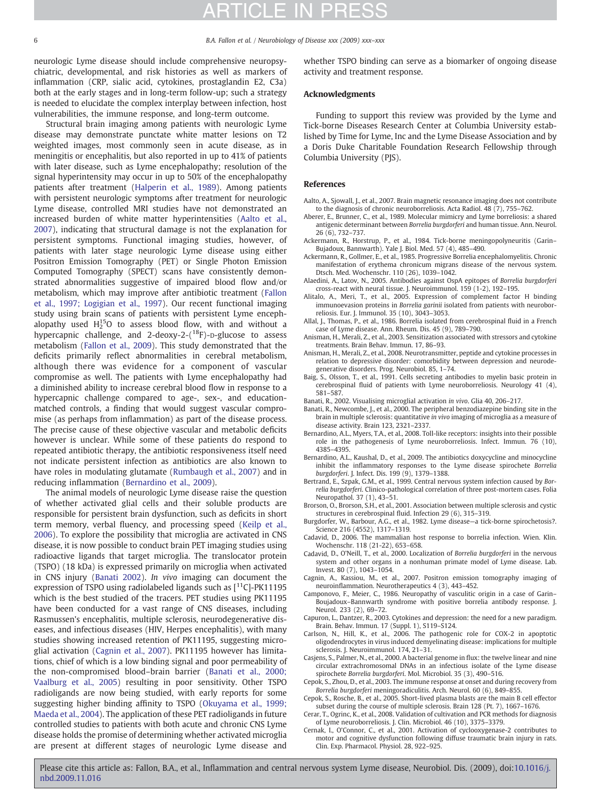### ICLE

<span id="page-5-0"></span>neurologic Lyme disease should include comprehensive neuropsychiatric, developmental, and risk histories as well as markers of inflammation (CRP, sialic acid, cytokines, prostaglandin E2, C3a) both at the early stages and in long-term follow-up; such a strategy is needed to elucidate the complex interplay between infection, host vulnerabilities, the immune response, and long-term outcome.

Structural brain imaging among patients with neurologic Lyme disease may demonstrate punctate white matter lesions on T2 weighted images, most commonly seen in acute disease, as in meningitis or encephalitis, but also reported in up to 41% of patients with later disease, such as Lyme encephalopathy; resolution of the signal hyperintensity may occur in up to 50% of the encephalopathy patients after treatment ([Halperin et al., 1989\)](#page-6-0). Among patients with persistent neurologic symptoms after treatment for neurologic Lyme disease, controlled MRI studies have not demonstrated an increased burden of white matter hyperintensities (Aalto et al., 2007), indicating that structural damage is not the explanation for persistent symptoms. Functional imaging studies, however, of patients with later stage neurologic Lyme disease using either Positron Emission Tomography (PET) or Single Photon Emission Computed Tomography (SPECT) scans have consistently demonstrated abnormalities suggestive of impaired blood flow and/or metabolism, which may improve after antibiotic treatment ([Fallon](#page-6-0) [et al., 1997; Logigian et al., 1997](#page-6-0)). Our recent functional imaging study using brain scans of patients with persistent Lyme encephalopathy used  $H_2^{15}O$  to assess blood flow, with and without a hypercapnic challenge, and 2-deoxy-2-(<sup>18</sup>F)-D-glucose to assess metabolism [\(Fallon et al., 2009\)](#page-6-0). This study demonstrated that the deficits primarily reflect abnormalities in cerebral metabolism, although there was evidence for a component of vascular compromise as well. The patients with Lyme encephalopathy had a diminished ability to increase cerebral blood flow in response to a hypercapnic challenge compared to age-, sex-, and educationmatched controls, a finding that would suggest vascular compromise (as perhaps from inflammation) as part of the disease process. The precise cause of these objective vascular and metabolic deficits however is unclear. While some of these patients do respond to repeated antibiotic therapy, the antibiotic responsiveness itself need not indicate persistent infection as antibiotics are also known to have roles in modulating glutamate ([Rumbaugh et al., 2007](#page-7-0)) and in reducing inflammation (Bernardino et al., 2009).

The animal models of neurologic Lyme disease raise the question of whether activated glial cells and their soluble products are responsible for persistent brain dysfunction, such as deficits in short term memory, verbal fluency, and processing speed ([Keilp et al.,](#page-6-0) [2006\)](#page-6-0). To explore the possibility that microglia are activated in CNS disease, it is now possible to conduct brain PET imaging studies using radioactive ligands that target microglia. The translocator protein (TSPO) (18 kDa) is expressed primarily on microglia when activated in CNS injury (Banati 2002). In vivo imaging can document the expression of TSPO using radiolabeled ligands such as  $[11C]$ -PK11195 which is the best studied of the tracers. PET studies using PK11195 have been conducted for a vast range of CNS diseases, including Rasmussen's encephalitis, multiple sclerosis, neurodegenerative diseases, and infectious diseases (HIV, Herpes encephalitis), with many studies showing increased retention of PK11195, suggesting microglial activation (Cagnin et al., 2007). PK11195 however has limitations, chief of which is a low binding signal and poor permeability of the non-compromised blood–brain barrier (Banati et al., 2000; Vaalburg et al., 2005) resulting in poor sensitivity. Other TSPO radioligands are now being studied, with early reports for some suggesting higher binding affinity to TSPO [\(Okuyama et al., 1999;](#page-6-0) [Maeda et al., 2004](#page-6-0)). The application of these PET radioligands in future controlled studies to patients with both acute and chronic CNS Lyme disease holds the promise of determining whether activated microglia are present at different stages of neurologic Lyme disease and

whether TSPO binding can serve as a biomarker of ongoing disease activity and treatment response.

#### Acknowledgments

Funding to support this review was provided by the Lyme and Tick-borne Diseases Research Center at Columbia University established by Time for Lyme, Inc and the Lyme Disease Association and by a Doris Duke Charitable Foundation Research Fellowship through Columbia University (PJS).

### References

- Aalto, A., Sjowall, J., et al., 2007. Brain magnetic resonance imaging does not contribute to the diagnosis of chronic neuroborreliosis. Acta Radiol. 48 (7), 755–762.
- Aberer, E., Brunner, C., et al., 1989. Molecular mimicry and Lyme borreliosis: a shared antigenic determinant between Borrelia burgdorferi and human tissue. Ann. Neurol. 26 (6), 732–737.
- Ackermann, R., Horstrup, P., et al., 1984. Tick-borne meningopolyneuritis (Garin– Bujadoux, Bannwarth). Yale J. Biol. Med. 57 (4), 485–490.
- Ackermann, R., Gollmer, E., et al., 1985. Progressive Borrelia encephalomyelitis. Chronic manifestation of erythema chronicum migrans disease of the nervous system. Dtsch. Med. Wochenschr. 110 (26), 1039–1042.
- Alaedini, A., Latov, N., 2005. Antibodies against OspA epitopes of Borrelia burgdorferi cross-react with neural tissue. J. Neuroimmunol. 159 (1-2), 192–195.
- Alitalo, A., Meri, T., et al., 2005. Expression of complement factor H binding immunoevasion proteins in Borrelia garinii isolated from patients with neuroborreliosis. Eur. J. Immunol. 35 (10), 3043–3053.
- Allal, J., Thomas, P., et al., 1986. Borrelia isolated from cerebrospinal fluid in a French case of Lyme disease. Ann. Rheum. Dis. 45 (9), 789–790.
- Anisman, H., Merali, Z., et al., 2003. Sensitization associated with stressors and cytokine treatments. Brain Behav. Immun. 17, 86–93.
- Anisman, H., Merali, Z., et al., 2008. Neurotransmitter, peptide and cytokine processes in relation to depressive disorder: comorbidity between depression and neurodegenerative disorders. Prog. Neurobiol. 85, 1–74.
- Baig, S., Olsson, T., et al., 1991. Cells secreting antibodies to myelin basic protein in cerebrospinal fluid of patients with Lyme neuroborreliosis. Neurology 41 (4), 581–587.
- Banati, R., 2002. Visualising microglial activation in vivo. Glia 40, 206–217.
- Banati, R., Newcombe, J., et al., 2000. The peripheral benzodiazepine binding site in the brain in multiple sclerosis: quantitative in vivo imaging of microglia as a measure of disease activity. Brain 123, 2321–2337.
- Bernardino, A.L., Myers, T.A., et al., 2008. Toll-like receptors: insights into their possible role in the pathogenesis of Lyme neuroborreliosis. Infect. Immun. 76 (10), 4385–4395.
- Bernardino, A.L., Kaushal, D., et al., 2009. The antibiotics doxycycline and minocycline inhibit the inflammatory responses to the Lyme disease spirochete Borrelia burgdorferi. J. Infect. Dis. 199 (9), 1379–1388.
- Bertrand, E., Szpak, G.M., et al., 1999. Central nervous system infection caused by Borrelia burgdorferi. Clinico-pathological correlation of three post-mortem cases. Folia Neuropathol. 37 (1), 43–51.
- Brorson, O., Brorson, S.H., et al., 2001. Association between multiple sclerosis and cystic structures in cerebrospinal fluid. Infection 29 (6), 315–319.
- Burgdorfer, W., Barbour, A.G., et al., 1982. Lyme disease—a tick-borne spirochetosis?. Science 216 (4552), 1317–1319.
- Cadavid, D., 2006. The mammalian host response to borrelia infection. Wien. Klin. Wochenschr. 118 (21-22), 653–658.
- Cadavid, D., O'Neill, T., et al., 2000. Localization of Borrelia burgdorferi in the nervous system and other organs in a nonhuman primate model of Lyme disease. Lab. Invest. 80 (7), 1043–1054.
- Cagnin, A., Kassiou, M., et al., 2007. Positron emission tomography imaging of neuroinflammation. Neurotherapeutics 4 (3), 443–452.
- Camponovo, F., Meier, C., 1986. Neuropathy of vasculitic origin in a case of Garin– Boujadoux–Bannwarth syndrome with positive borrelia antibody response. J. Neurol. 233 (2), 69–72.
- Capuron, L., Dantzer, R., 2003. Cytokines and depression: the need for a new paradigm. Brain. Behav. Immun. 17 (Suppl. 1), S119–S124.
- Carlson, N., Hill, K., et al., 2006. The pathogenic role for COX-2 in apoptotic oligodendrocytes in virus induced demyelinating disease: implications for multiple sclerosis. J. Neuroimmunol. 174, 21–31.
- Casjens, S., Palmer, N., et al., 2000. A bacterial genome in flux: the twelve linear and nine circular extrachromosomal DNAs in an infectious isolate of the Lyme disease spirochete Borrelia burgdorferi. Mol. Microbiol. 35 (3), 490–516.
- Cepok, S., Zhou, D., et al., 2003. The immune response at onset and during recovery from Borrelia burgdorferi meningoradiculitis. Arch. Neurol. 60 (6), 849–855.
- Cepok, S., Rosche, B., et al., 2005. Short-lived plasma blasts are the main B cell effector subset during the course of multiple sclerosis. Brain 128 (Pt. 7), 1667–1676.
- Cerar, T., Ogrinc, K., et al., 2008. Validation of cultivation and PCR methods for diagnosis of Lyme neuroborreliosis. J. Clin. Microbiol. 46 (10), 3375–3379.
- Cernak, I., O'Connor, C., et al., 2001. Activation of cyclooxygenase-2 contributes to motor and cognitive dysfunction following diffuse traumatic brain injury in rats. Clin. Exp. Pharmacol. Physiol. 28, 922–925.

Please cite this article as: Fallon, B.A., et al., Inflammation and central nervous system Lyme disease, Neurobiol. Dis. (2009), doi:[10.1016/j.](http://dx.doi.org/10.1016/j.nbd.2009.11.016) [nbd.2009.11.016](http://dx.doi.org/10.1016/j.nbd.2009.11.016)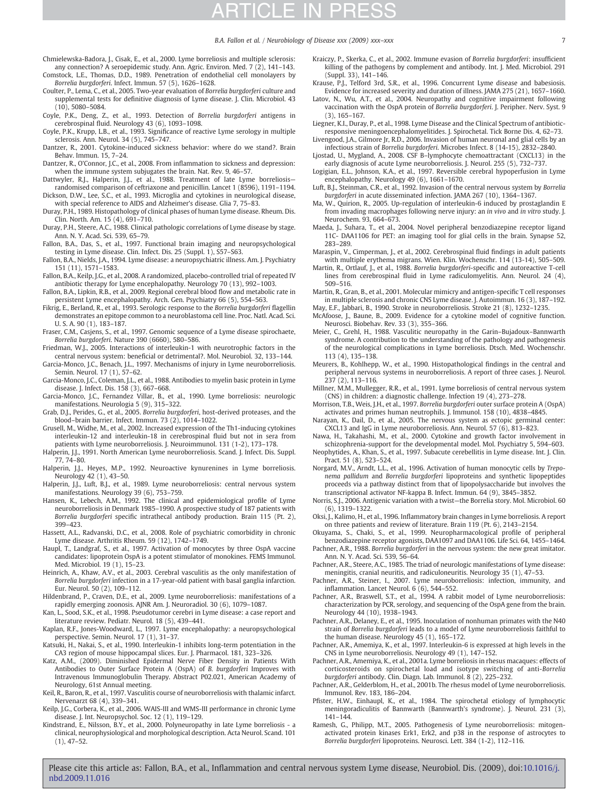### B.A. Fallon et al. / Neurobiology of Disease xxx (2009) xxx-xxx

ARTICLE IN PRESS

<span id="page-6-0"></span>Chmielewska-Badora, J., Cisak, E., et al., 2000. Lyme borreliosis and multiple sclerosis: any connection? A seroepidemic study. Ann. Agric. Environ. Med. 7 (2), 141-143.

Comstock, L.E., Thomas, D.D., 1989. Penetration of endothelial cell monolayers by Borrelia burgdorferi. Infect. Immun. 57 (5), 1626–1628.

- Coulter, P., Lema, C., et al., 2005. Two-year evaluation of Borrelia burgdorferi culture and supplemental tests for definitive diagnosis of Lyme disease. J. Clin. Microbiol. 43  $(10)$ , 5080–5084
- Coyle, P.K., Deng, Z., et al., 1993. Detection of Borrelia burgdorferi antigens in cerebrospinal fluid. Neurology 43 (6), 1093–1098. Coyle, P.K., Krupp, L.B., et al., 1993. Significance of reactive Lyme serology in multiple
- sclerosis. Ann. Neurol. 34 (5), 745–747.
- Dantzer, R., 2001. Cytokine-induced sickness behavior: where do we stand?. Brain Behav. Immun. 15, 7–24.
- Dantzer, R., O'Connor, J.C., et al., 2008. From inflammation to sickness and depression: when the immune system subjugates the brain. Nat. Rev. 9, 46–57. Dattwyler, R.J., Halperin, J.J., et al., 1988. Treatment of late Lyme borreliosis—
- randomised comparison of ceftriaxone and penicillin. Lancet 1 (8596), 1191–1194.
- Dickson, D.W., Lee, S.C., et al., 1993. Microglia and cytokines in neurological disease, with special reference to AIDS and Alzheimer's disease. Glia 7, 75–83.
- Duray, P.H., 1989. Histopathology of clinical phases of human Lyme disease. Rheum. Dis. Clin. North. Am. 15 (4), 691–710.
- Duray, P.H., Steere, A.C., 1988. Clinical pathologic correlations of Lyme disease by stage. Ann. N. Y. Acad. Sci. 539, 65–79.
- Fallon, B.A., Das, S., et al., 1997. Functional brain imaging and neuropsychological testing in Lyme disease. Clin. Infect. Dis. 25 (Suppl. 1), S57–S63.
- Fallon, B.A., Nields, J.A., 1994. Lyme disease: a neuropsychiatric illness. Am. J. Psychiatry 151 (11), 1571–1583.
- Fallon, B.A., Keilp, J.G., et al., 2008. A randomized, placebo-controlled trial of repeated IV antibiotic therapy for Lyme encephalopathy. Neurology 70 (13), 992–1003.
- Fallon, B.A., Lipkin, R.B., et al., 2009. Regional cerebral blood flow and metabolic rate in persistent Lyme encephalopathy. Arch. Gen. Psychiatry 66 (5), 554–563.
- Fikrig, E., Berland, R., et al., 1993. Serologic response to the Borrelia burgdorferi flagellin demonstrates an epitope common to a neuroblastoma cell line. Proc. Natl. Acad. Sci. U. S. A. 90 (1), 183–187.
- Fraser, C.M., Casjens, S., et al., 1997. Genomic sequence of a Lyme disease spirochaete, Borrelia burgdorferi. Nature 390 (6660), 580–586.
- Friedman, W.J., 2005. Interactions of interleukin-1 with neurotrophic factors in the central nervous system: beneficial or detrimental?. Mol. Neurobiol. 32, 133–144.
- Garcia-Monco, J.C., Benach, J.L., 1997. Mechanisms of injury in Lyme neuroborreliosis. Semin. Neurol. 17 (1), 57–62.
- Garcia-Monco, J.C., Coleman, J.L., et al., 1988. Antibodies to myelin basic protein in Lyme disease. J. Infect. Dis. 158 (3), 667–668.
- Garcia-Monco, J.C., Fernandez Villar, B., et al., 1990. Lyme borreliosis: neurologic manifestations. Neurologia 5 (9), 315–322.
- Grab, D.J., Perides, G., et al., 2005. Borrelia burgdorferi, host-derived proteases, and the blood–brain barrier. Infect. Immun. 73 (2), 1014–1022.
- Grusell, M., Widhe, M., et al., 2002. Increased expression of the Th1-inducing cytokines interleukin-12 and interleukin-18 in cerebrospinal fluid but not in sera from patients with Lyme neuroborreliosis. J. Neuroimmunol. 131 (1-2), 173–178.
- Halperin, J.J., 1991. North American Lyme neuroborreliosis. Scand. J. Infect. Dis. Suppl. 77, 74–80.
- Halperin, J.J., Heyes, M.P., 1992. Neuroactive kynurenines in Lyme borreliosis. Neurology 42 (1), 43–50.
- Halperin, J.J., Luft, B.J., et al., 1989. Lyme neuroborreliosis: central nervous system manifestations. Neurology 39 (6), 753–759.
- Hansen, K., Lebech, A.M., 1992. The clinical and epidemiological profile of Lyme neuroborreliosis in Denmark 1985–1990. A prospective study of 187 patients with Borrelia burgdorferi specific intrathecal antibody production. Brain 115 (Pt. 2), 399–423.
- Hassett, A.L., Radvanski, D.C., et al., 2008. Role of psychiatric comorbidity in chronic Lyme disease. Arthritis Rheum. 59 (12), 1742–1749.
- Haupl, T., Landgraf, S., et al., 1997. Activation of monocytes by three OspA vaccine candidates: lipoprotein OspA is a potent stimulator of monokines. FEMS Immunol. Med. Microbiol. 19 (1), 15–23.
- Heinrich, A., Khaw, A.V., et al., 2003. Cerebral vasculitis as the only manifestation of Borrelia burgdorferi infection in a 17-year-old patient with basal ganglia infarction. Eur. Neurol. 50 (2), 109–112.
- Hildenbrand, P., Craven, D.E., et al., 2009. Lyme neuroborreliosis: manifestations of a rapidly emerging zoonosis. AJNR Am. J. Neuroradiol. 30 (6), 1079–1087.
- Kan, L., Sood, S.K., et al., 1998. Pseudotumor cerebri in Lyme disease: a case report and literature review. Pediatr. Neurol. 18 (5), 439–441.
- Kaplan, R.F., Jones-Woodward, L., 1997. Lyme encephalopathy: a neuropsychological perspective. Semin. Neurol. 17 (1), 31–37.
- Katsuki, H., Nakai, S., et al., 1990. Interleukin-1 inhibits long-term potentiation in the CA3 region of mouse hippocampal slices. Eur. J. Pharmacol. 181, 323–326.
- Katz, A.M., (2009). Diminished Epidermal Nerve Fiber Density in Patients With Antibodies to Outer Surface Protein A (OspA) of B. burgdorferi Improves with Intravenous Immunoglobulin Therapy. Abstract P02.021, American Academy of Neurology, 61st Annual meeting.
- Keil, R., Baron, R., et al., 1997. Vasculitis course of neuroborreliosis with thalamic infarct. Nervenarzt 68 (4), 339–341.
- Keilp, J.G., Corbera, K., et al., 2006. WAIS-III and WMS-III performance in chronic Lyme disease. J. Int. Neuropsychol. Soc. 12 (1), 119–129.
- Kindstrand, E., Nilsson, B.Y., et al., 2000. Polyneuropathy in late Lyme borreliosis a clinical, neurophysiological and morphological description. Acta Neurol. Scand. 101 (1), 47–52.
- Kraiczy, P., Skerka, C., et al., 2002. Immune evasion of Borrelia burgdorferi: insufficient killing of the pathogens by complement and antibody. Int. J. Med. Microbiol. 291 (Suppl. 33), 141–146.
- Krause, P.J., Telford 3rd, S.R., et al., 1996. Concurrent Lyme disease and babesiosis.
- Evidence for increased severity and duration of illness. JAMA 275 (21), 1657–1660. Latov, N., Wu, A.T., et al., 2004. Neuropathy and cognitive impairment following vaccination with the OspA protein of Borrelia burgdorferi. J. Peripher. Nerv. Syst. 9 (3), 165–167.
- Liegner, K.I., Duray, P., et al., 1998. Lyme Disease and the Clinical Spectrum of antibiotic-responsive meningoencephalomyelitides. J. Spirochetal. Tick Borne Dis. 4, 62–73.
- Livengood, J.A., Gilmore Jr, R.D., 2006. Invasion of human neuronal and glial cells by an infectious strain of Borrelia burgdorferi. Microbes Infect. 8 (14-15), 2832–2840.
- Ljostad, U., Mygland, A., 2008. CSF B–lymphocyte chemoattractant (CXCL13) in the early diagnosis of acute Lyme neuroborreliosis. J. Neurol. 255 (5), 732–737.
- Logigian, E.L., Johnson, K.A., et al., 1997. Reversible cerebral hypoperfusion in Lyme encephalopathy. Neurology 49 (6), 1661–1670.
- Luft, B.J., Steinman, C.R., et al., 1992. Invasion of the central nervous system by Borrelia burgdorferi in acute disseminated infection. JAMA 267 (10), 1364–1367.
- Ma, W., Quirion, R., 2005. Up-regulation of interleukin-6 induced by prostaglandin E from invading macrophages following nerve injury: an in vivo and in vitro study. J. Neurochem. 93, 664–673.
- Maeda, J., Suhara, T., et al., 2004. Novel peripheral benzodiazepine receptor ligand 11C- DAA1106 for PET: an imaging tool for glial cells in the brain. Synapse 52, 283–289.

Maraspin, V., Cimperman, J., et al., 2002. Cerebrospinal fluid findings in adult patients with multiple erythema migrans. Wien. Klin. Wochenschr. 114 (13-14), 505–509.

- Martin, R., Ortlauf, J., et al., 1988. Borrelia burgdorferi-specific and autoreactive T-cell lines from cerebrospinal fluid in Lyme radiculomyelitis. Ann. Neurol. 24 (4), 509–516.
- Martin, R., Gran, B., et al., 2001. Molecular mimicry and antigen-specific T cell responses in multiple sclerosis and chronic CNS Lyme disease. J. Autoimmun. 16 (3), 187–192. May, E.F., Jabbari, B., 1990. Stroke in neuroborreliosis. Stroke 21 (8), 1232–1235.
- McAfoose, J., Baune, B., 2009. Evidence for a cytokine model of cognitive function. Neurosci. Biobehav. Rev. 33 (3), 355–366.
- Meier, C., Grehl, H., 1988. Vasculitic neuropathy in the Garin–Bujadoux–Bannwarth syndrome. A contribution to the understanding of the pathology and pathogenesis of the neurological complications in Lyme borreliosis. Dtsch. Med. Wochenschr. 113 (4), 135–138.
- Meurers, B., Kohlhepp, W., et al., 1990. Histopathological findings in the central and peripheral nervous systems in neuroborreliosis. A report of three cases. J. Neurol. 237 (2), 113–116.
- Millner, M.M., Mullegger, R.R., et al., 1991. Lyme borreliosis of central nervous system (CNS) in children: a diagnostic challenge. Infection 19 (4), 273–278.
- Morrison, T.B., Weis, J.H., et al., 1997. Borrelia burgdorferi outer surface protein A (OspA) activates and primes human neutrophils. J. Immunol. 158 (10), 4838–4845.
- Narayan, K., Dail, D., et al., 2005. The nervous system as ectopic germinal center: CXCL13 and IgG in Lyme neuroborreliosis. Ann. Neurol. 57 (6), 813–823.
- Nawa, H., Takahashi, M., et al., 2000. Cytokine and growth factor involvement in schizophrenia-support for the developmental model. Mol. Psychiatry 5, 594–603.
- Neophytides, A., Khan, S., et al., 1997. Subacute cerebellitis in Lyme disease. Int. J. Clin. Pract. 51 (8), 523–524.
- Norgard, M.V., Arndt, L.L., et al., 1996. Activation of human monocytic cells by Treponema pallidum and Borrelia burgdorferi lipoproteins and synthetic lipopeptides proceeds via a pathway distinct from that of lipopolysaccharide but involves the transcriptional activator NF-kappa B. Infect. Immun. 64 (9), 3845–3852.
- Norris, S.J., 2006. Antigenic variation with a twist—the Borrelia story. Mol. Microbiol. 60 (6), 1319–1322.
- Oksi, J., Kalimo, H., et al., 1996. Inflammatory brain changes in Lyme borreliosis. A report on three patients and review of literature. Brain 119 (Pt. 6), 2143–2154.
- Okuyama, S., Chaki, S., et al., 1999. Neuropharmacological profile of peripheral benzodiazepine receptor agonists, DAA1097 and DAA1106. Life Sci. 64, 1455–1464.
- Pachner, A.R., 1988. Borrelia burgdorferi in the nervous system: the new great imitator. Ann. N. Y. Acad. Sci. 539, 56–64.
- Pachner, A.R., Steere, A.C., 1985. The triad of neurologic manifestations of Lyme disease: meningitis, cranial neuritis, and radiculoneuritis. Neurology 35 (1), 47–53.
- Pachner, A.R., Steiner, I., 2007. Lyme neuroborreliosis: infection, immunity, and inflammation. Lancet Neurol. 6 (6), 544–552.
- Pachner, A.R., Braswell, S.T., et al., 1994. A rabbit model of Lyme neuroborreliosis: characterization by PCR, serology, and sequencing of the OspA gene from the brain. Neurology 44 (10), 1938–1943.
- Pachner, A.R., Delaney, E., et al., 1995. Inoculation of nonhuman primates with the N40 strain of Borrelia burgdorferi leads to a model of Lyme neuroborreliosis faithful to the human disease. Neurology 45 (1), 165–172.
- Pachner, A.R., Amemiya, K., et al., 1997. Interleukin-6 is expressed at high levels in the CNS in Lyme neuroborreliosis. Neurology 49 (1), 147–152.
- Pachner, A.R., Amemiya, K., et al., 2001a. Lyme borreliosis in rhesus macaques: effects of corticosteroids on spirochetal load and isotype switching of anti-Borrelia burgdorferi antibody. Clin. Diagn. Lab. Immunol. 8 (2), 225–232.
- Pachner, A.R., Gelderblom, H., et al., 2001b. The rhesus model of Lyme neuroborreliosis. Immunol. Rev. 183, 186–204.
- Pfister, H.W., Einhaupl, K., et al., 1984. The spirochetal etiology of lymphocytic meningoradiculitis of Bannwarth (Bannwarth's syndrome). J. Neurol. 231 (3), 141–144.
- Ramesh, G., Philipp, M.T., 2005. Pathogenesis of Lyme neuroborreliosis: mitogenactivated protein kinases Erk1, Erk2, and p38 in the response of astrocytes to Borrelia burgdorferi lipoproteins. Neurosci. Lett. 384 (1-2), 112–116.